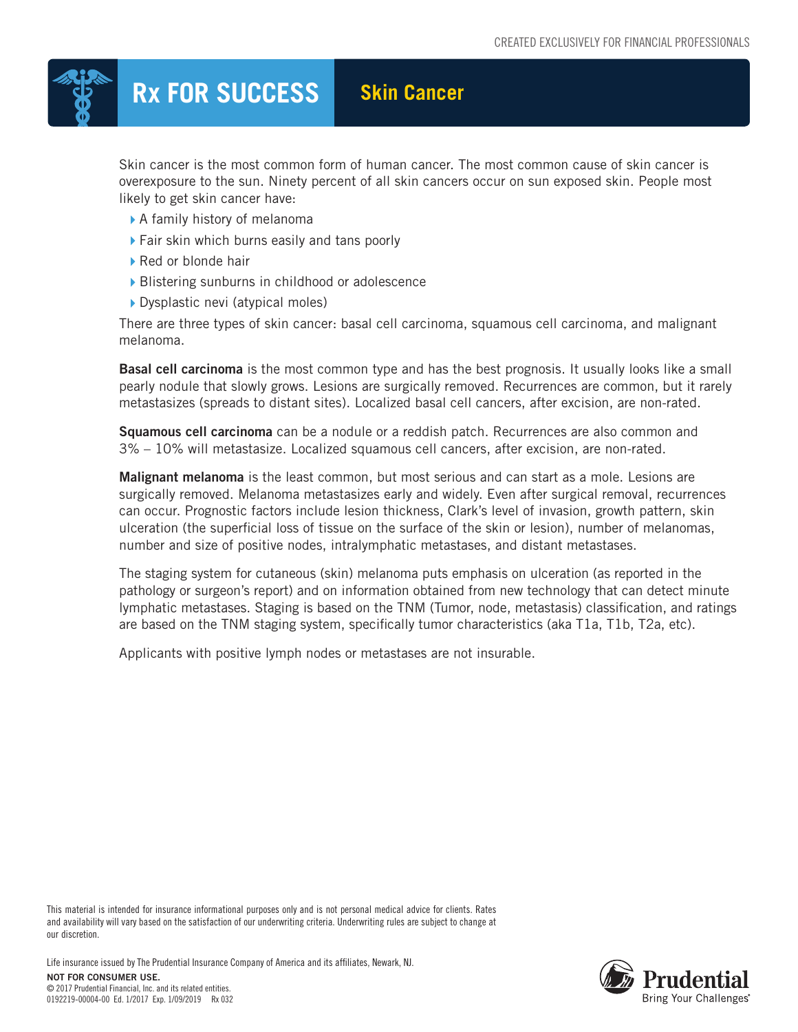

## **Rx FOR SUCCESS Skin Cancer**

Skin cancer is the most common form of human cancer. The most common cause of skin cancer is overexposure to the sun. Ninety percent of all skin cancers occur on sun exposed skin. People most likely to get skin cancer have:

- A family history of melanoma
- ▶ Fair skin which burns easily and tans poorly
- ▶ Red or blonde hair
- ▶ Blistering sunburns in childhood or adolescence
- Dysplastic nevi (atypical moles)

There are three types of skin cancer: basal cell carcinoma, squamous cell carcinoma, and malignant melanoma.

Basal cell carcinoma is the most common type and has the best prognosis. It usually looks like a small pearly nodule that slowly grows. Lesions are surgically removed. Recurrences are common, but it rarely metastasizes (spreads to distant sites). Localized basal cell cancers, after excision, are non-rated.

Squamous cell carcinoma can be a nodule or a reddish patch. Recurrences are also common and 3% – 10% will metastasize. Localized squamous cell cancers, after excision, are non-rated.

**Malignant melanoma** is the least common, but most serious and can start as a mole. Lesions are surgically removed. Melanoma metastasizes early and widely. Even after surgical removal, recurrences can occur. Prognostic factors include lesion thickness, Clark's level of invasion, growth pattern, skin ulceration (the superficial loss of tissue on the surface of the skin or lesion), number of melanomas, number and size of positive nodes, intralymphatic metastases, and distant metastases.

The staging system for cutaneous (skin) melanoma puts emphasis on ulceration (as reported in the pathology or surgeon's report) and on information obtained from new technology that can detect minute lymphatic metastases. Staging is based on the TNM (Tumor, node, metastasis) classification, and ratings are based on the TNM staging system, specifically tumor characteristics (aka T1a, T1b, T2a, etc).

Applicants with positive lymph nodes or metastases are not insurable.

This material is intended for insurance informational purposes only and is not personal medical advice for clients. Rates and availability will vary based on the satisfaction of our underwriting criteria. Underwriting rules are subject to change at our discretion.

Life insurance issued by The Prudential Insurance Company of America and its affiliates, Newark, NJ.

NOT FOR CONSUMER USE. © 2017 Prudential Financial, Inc. and its related entities. 0192219-00004-00 Ed. 1/2017 Exp. 1/09/2019 Rx 032

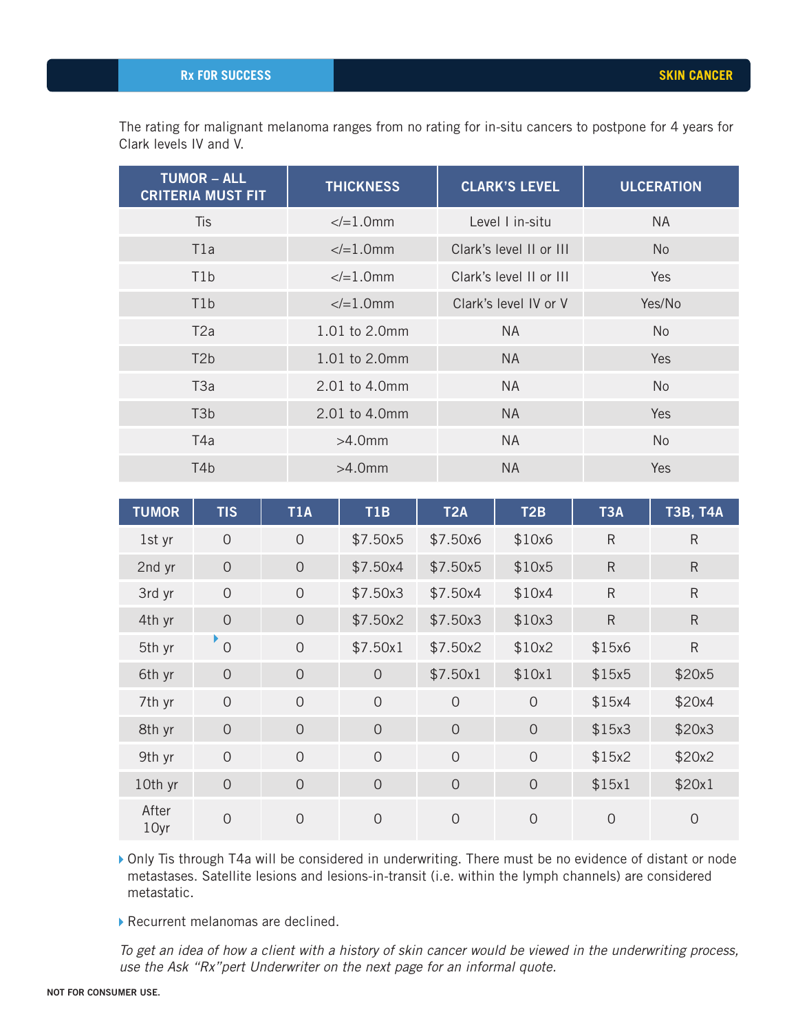The rating for malignant melanoma ranges from no rating for in-situ cancers to postpone for 4 years for Clark levels IV and V.

| <b>TUMOR - ALL</b><br><b>CRITERIA MUST FIT</b> | <b>THICKNESS</b> | <b>CLARK'S LEVEL</b>    | <b>ULCERATION</b> |
|------------------------------------------------|------------------|-------------------------|-------------------|
| <b>Tis</b>                                     | $\le$ /=1.0mm    | Level I in-situ         | <b>NA</b>         |
| T1a                                            | $\le$ /=1.0mm    | Clark's level II or III | <b>No</b>         |
| T <sub>1</sub> b                               | $\le$ /=1.0mm    | Clark's level II or III | Yes               |
| T <sub>1</sub> b                               | $\le$ /=1.0mm    | Clark's level IV or V   | Yes/No            |
| T2a                                            | 1.01 to 2.0mm    | <b>NA</b>               | N <sub>0</sub>    |
| T <sub>2</sub> b                               | 1.01 to 2.0mm    | <b>NA</b>               | Yes               |
| T3a                                            | 2.01 to 4.0mm    | NA.                     | <b>No</b>         |
| T <sub>3</sub> b                               | 2.01 to 4.0mm    | <b>NA</b>               | <b>Yes</b>        |
| T4a                                            | $>4.0$ mm        | <b>NA</b>               | <b>No</b>         |
| T4b                                            | $>4.0$ mm        | <b>NA</b>               | <b>Yes</b>        |

| <b>TUMOR</b>  | <b>TIS</b>     | <b>T1A</b>     | T1B            | <b>T2A</b>     | T <sub>2</sub> B | T <sub>3</sub> A | <b>T3B, T4A</b> |
|---------------|----------------|----------------|----------------|----------------|------------------|------------------|-----------------|
| 1st yr        | $\overline{O}$ | $\mathsf{O}$   | \$7.50x5       | \$7.50x6       | \$10x6           | $\mathsf R$      | $\mathsf{R}$    |
| 2nd yr        | $\overline{O}$ | $\overline{0}$ | \$7.50x4       | \$7.50x5       | \$10x5           | $\mathsf R$      | $\mathsf R$     |
| 3rd yr        | $\overline{O}$ | $\overline{0}$ | \$7.50x3       | \$7.50x4       | \$10x4           | ${\sf R}$        | $\mathsf{R}$    |
| 4th yr        | $\overline{0}$ | $\overline{0}$ | \$7.50x2       | \$7.50x3       | \$10x3           | $\mathsf{R}$     | $\mathsf R$     |
| 5th yr        | $\overline{O}$ | $\overline{O}$ | \$7.50x1       | \$7.50x2       | \$10x2           | \$15x6           | ${\sf R}$       |
| 6th yr        | $\overline{0}$ | $\overline{0}$ | $\overline{O}$ | \$7.50x1       | \$10x1           | \$15x5           | \$20x5          |
| 7th yr        | $\overline{0}$ | $\overline{0}$ | $\overline{0}$ | $\overline{0}$ | $\overline{0}$   | \$15x4           | \$20x4          |
| 8th yr        | $\overline{0}$ | $\overline{0}$ | $\overline{0}$ | $\theta$       | $\overline{0}$   | \$15x3           | \$20x3          |
| 9th yr        | $\overline{O}$ | $\overline{0}$ | $\overline{0}$ | $\overline{0}$ | $\overline{0}$   | \$15x2           | \$20x2          |
| 10th yr       | $\overline{0}$ | $\overline{0}$ | $\overline{0}$ | $\overline{0}$ | $\overline{0}$   | \$15x1           | \$20x1          |
| After<br>10yr | $\overline{0}$ | $\overline{0}$ | $\overline{0}$ | $\mathbf 0$    | $\overline{0}$   | $\overline{0}$   | $\overline{0}$  |

Only Tis through T4a will be considered in underwriting. There must be no evidence of distant or node metastases. Satellite lesions and lesions-in-transit (i.e. within the lymph channels) are considered metastatic.

Recurrent melanomas are declined.

*To get an idea of how a client with a history of skin cancer would be viewed in the underwriting process, use the Ask "Rx"pert Underwriter on the next page for an informal quote.*